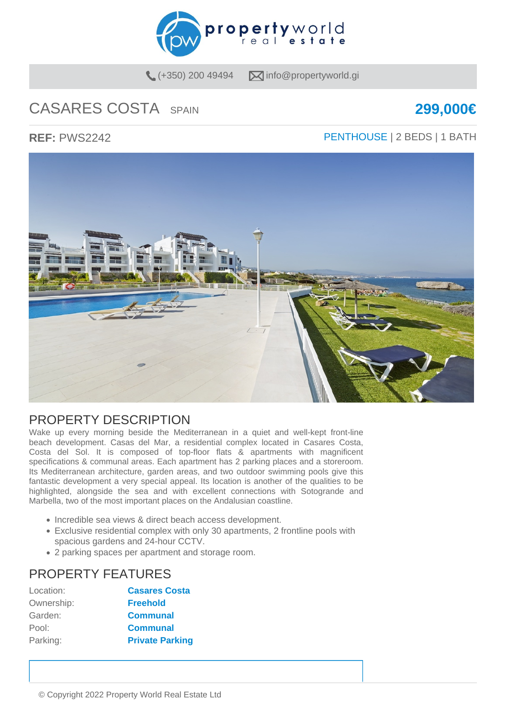

 $(+350)$  200 49494  $\blacksquare$  info@propertyworld.gi

# CASARES COSTA SPAIN **299,000€**

### **REF:** PWS2242 **PENTHOUSE** | 2 BEDS | 1 BATH



### PROPERTY DESCRIPTION

Wake up every morning beside the Mediterranean in a quiet and well-kept front-line beach development. Casas del Mar, a residential complex located in Casares Costa, Costa del Sol. It is composed of top-floor flats & apartments with magnificent specifications & communal areas. Each apartment has 2 parking places and a storeroom. Its Mediterranean architecture, garden areas, and two outdoor swimming pools give this fantastic development a very special appeal. Its location is another of the qualities to be highlighted, alongside the sea and with excellent connections with Sotogrande and Marbella, two of the most important places on the Andalusian coastline.

- Incredible sea views & direct beach access development.
- Exclusive residential complex with only 30 apartments, 2 frontline pools with spacious gardens and 24-hour CCTV.
- 2 parking spaces per apartment and storage room.

## PROPERTY FEATURES

| Location:  | <b>Casares Costa</b>   |
|------------|------------------------|
| Ownership: | <b>Freehold</b>        |
| Garden:    | <b>Communal</b>        |
| Pool:      | <b>Communal</b>        |
| Parking:   | <b>Private Parking</b> |
|            |                        |